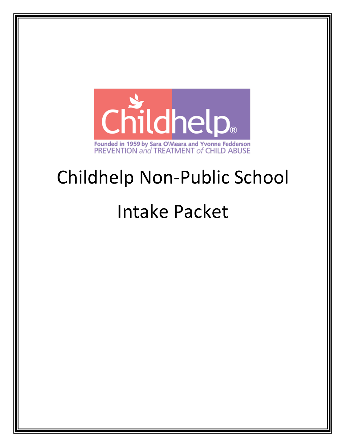

# Childhelp Non-Public School

# Intake Packet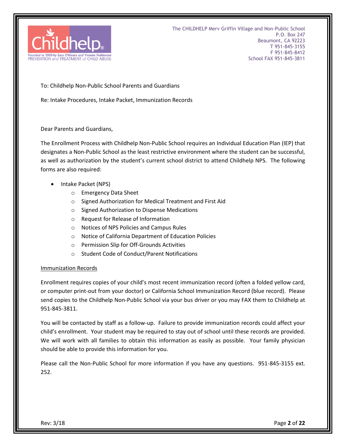

To: Childhelp Non-Public School Parents and Guardians

Re: Intake Procedures, Intake Packet, Immunization Records

Dear Parents and Guardians,

The Enrollment Process with Childhelp Non-Public School requires an Individual Education Plan (IEP) that designates a Non-Public School as the least restrictive environment where the student can be successful, as well as authorization by the student's current school district to attend Childhelp NPS. The following forms are also required:

- Intake Packet (NPS)
	- o Emergency Data Sheet
	- o Signed Authorization for Medical Treatment and First Aid
	- o Signed Authorization to Dispense Medications
	- o Request for Release of Information
	- o Notices of NPS Policies and Campus Rules
	- o Notice of California Department of Education Policies
	- o Permission Slip for Off-Grounds Activities
	- o Student Code of Conduct/Parent Notifications

#### Immunization Records

Enrollment requires copies of your child's most recent immunization record (often a folded yellow card, or computer print-out from your doctor) or California School Immunization Record (blue record). Please send copies to the Childhelp Non-Public School via your bus driver or you may FAX them to Childhelp at 951-845-3811.

You will be contacted by staff as a follow-up. Failure to provide immunization records could affect your child's enrollment. Your student may be required to stay out of school until these records are provided. We will work with all families to obtain this information as easily as possible. Your family physician should be able to provide this information for you.

Please call the Non-Public School for more information if you have any questions. 951-845-3155 ext. 252.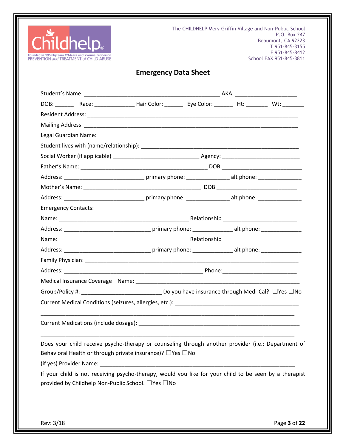

The CHILDHELP Merv Griffin Village and Non-Public School P.O. Box 247 Beaumont, CA 92223 T 951-845-3155 F 951-845-8412 School FAX 951-845-3811

# **Emergency Data Sheet**

|                            | DOB: ___________Race: _______________________Hair Color: ______________Eye Color: _____________Ht: ___________ Wt: _________                                                |  |  |  |
|----------------------------|-----------------------------------------------------------------------------------------------------------------------------------------------------------------------------|--|--|--|
|                            |                                                                                                                                                                             |  |  |  |
|                            |                                                                                                                                                                             |  |  |  |
|                            |                                                                                                                                                                             |  |  |  |
|                            |                                                                                                                                                                             |  |  |  |
|                            |                                                                                                                                                                             |  |  |  |
|                            |                                                                                                                                                                             |  |  |  |
|                            |                                                                                                                                                                             |  |  |  |
|                            |                                                                                                                                                                             |  |  |  |
|                            |                                                                                                                                                                             |  |  |  |
| <b>Emergency Contacts:</b> |                                                                                                                                                                             |  |  |  |
|                            |                                                                                                                                                                             |  |  |  |
|                            |                                                                                                                                                                             |  |  |  |
|                            |                                                                                                                                                                             |  |  |  |
|                            |                                                                                                                                                                             |  |  |  |
|                            |                                                                                                                                                                             |  |  |  |
|                            |                                                                                                                                                                             |  |  |  |
|                            |                                                                                                                                                                             |  |  |  |
|                            |                                                                                                                                                                             |  |  |  |
|                            |                                                                                                                                                                             |  |  |  |
|                            |                                                                                                                                                                             |  |  |  |
|                            | Does your child receive psycho-therapy or counseling through another provider (i.e.: Department of<br>Behavioral Health or through private insurance)? $\Box$ Yes $\Box$ No |  |  |  |
|                            | If your child is not receiving psycho-therapy, would you like for your child to be seen by a therapist<br>provided by Childhelp Non-Public School. □ Yes □ No               |  |  |  |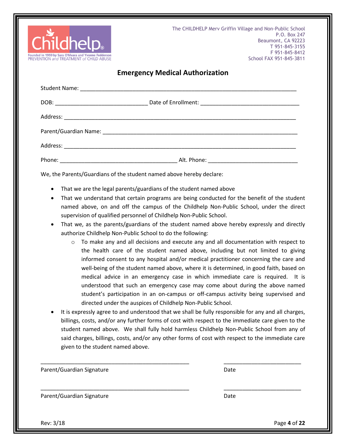

#### **Emergency Medical Authorization**

We, the Parents/Guardians of the student named above hereby declare:

- That we are the legal parents/guardians of the student named above
- That we understand that certain programs are being conducted for the benefit of the student named above, on and off the campus of the Childhelp Non-Public School, under the direct supervision of qualified personnel of Childhelp Non-Public School.
- That we, as the parents/guardians of the student named above hereby expressly and directly authorize Childhelp Non-Public School to do the following:
	- $\circ$  To make any and all decisions and execute any and all documentation with respect to the health care of the student named above, including but not limited to giving informed consent to any hospital and/or medical practitioner concerning the care and well-being of the student named above, where it is determined, in good faith, based on medical advice in an emergency case in which immediate care is required. It is understood that such an emergency case may come about during the above named student's participation in an on-campus or off-campus activity being supervised and directed under the auspices of Childhelp Non-Public School.
- It is expressly agree to and understood that we shall be fully responsible for any and all charges, billings, costs, and/or any further forms of cost with respect to the immediate care given to the student named above. We shall fully hold harmless Childhelp Non-Public School from any of said charges, billings, costs, and/or any other forms of cost with respect to the immediate care given to the student named above.

\_\_\_\_\_\_\_\_\_\_\_\_\_\_\_\_\_\_\_\_\_\_\_\_\_\_\_\_\_\_\_\_\_\_\_\_\_\_\_\_\_\_\_\_\_\_\_\_ \_\_\_\_\_\_\_\_\_\_\_\_\_\_\_\_\_\_\_\_\_\_\_\_\_

| Parent/Guardian Signature | Date |  |
|---------------------------|------|--|
|                           |      |  |

Parent/Guardian Signature Date Date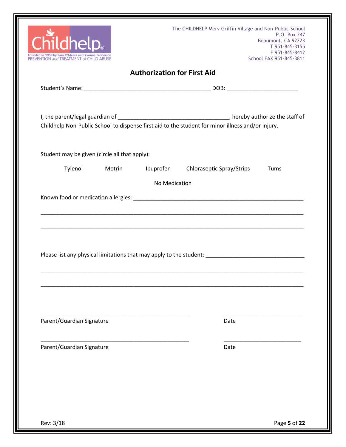| The CHILDHELP Merv Griffin Village and Non-Public School                                        |        |                                    |                                                                                                   | P.O. Box 247                              |
|-------------------------------------------------------------------------------------------------|--------|------------------------------------|---------------------------------------------------------------------------------------------------|-------------------------------------------|
| hel                                                                                             |        |                                    |                                                                                                   | Beaumont, CA 92223<br>T 951-845-3155      |
| Founded in 1959 by Sara O'Meara and Yvonne Fedderson<br>PREVENTION and TREATMENT of CHILD ABUSE |        |                                    |                                                                                                   | F 951-845-8412<br>School FAX 951-845-3811 |
|                                                                                                 |        | <b>Authorization for First Aid</b> |                                                                                                   |                                           |
|                                                                                                 |        |                                    |                                                                                                   |                                           |
|                                                                                                 |        |                                    |                                                                                                   |                                           |
|                                                                                                 |        |                                    |                                                                                                   |                                           |
|                                                                                                 |        |                                    | Childhelp Non-Public School to dispense first aid to the student for minor illness and/or injury. |                                           |
|                                                                                                 |        |                                    |                                                                                                   |                                           |
| Student may be given (circle all that apply):                                                   |        |                                    |                                                                                                   |                                           |
| Tylenol                                                                                         | Motrin | Ibuprofen                          | Chloraseptic Spray/Strips                                                                         | Tums                                      |
|                                                                                                 |        | No Medication                      |                                                                                                   |                                           |
|                                                                                                 |        |                                    |                                                                                                   |                                           |
|                                                                                                 |        |                                    |                                                                                                   |                                           |
|                                                                                                 |        |                                    |                                                                                                   |                                           |
|                                                                                                 |        |                                    |                                                                                                   |                                           |
|                                                                                                 |        |                                    |                                                                                                   |                                           |
|                                                                                                 |        |                                    |                                                                                                   |                                           |
|                                                                                                 |        |                                    |                                                                                                   |                                           |
|                                                                                                 |        |                                    | Please list any physical limitations that may apply to the student:                               |                                           |
|                                                                                                 |        |                                    |                                                                                                   |                                           |
|                                                                                                 |        |                                    |                                                                                                   |                                           |
|                                                                                                 |        |                                    |                                                                                                   |                                           |
|                                                                                                 |        |                                    |                                                                                                   |                                           |
|                                                                                                 |        |                                    |                                                                                                   |                                           |
|                                                                                                 |        |                                    |                                                                                                   |                                           |
|                                                                                                 |        |                                    |                                                                                                   |                                           |
| Parent/Guardian Signature                                                                       |        |                                    | Date                                                                                              |                                           |
|                                                                                                 |        |                                    |                                                                                                   |                                           |
|                                                                                                 |        |                                    |                                                                                                   |                                           |
| Parent/Guardian Signature                                                                       |        |                                    | Date                                                                                              |                                           |
|                                                                                                 |        |                                    |                                                                                                   |                                           |
|                                                                                                 |        |                                    |                                                                                                   |                                           |
|                                                                                                 |        |                                    |                                                                                                   |                                           |
|                                                                                                 |        |                                    |                                                                                                   |                                           |
|                                                                                                 |        |                                    |                                                                                                   |                                           |
|                                                                                                 |        |                                    |                                                                                                   |                                           |
|                                                                                                 |        |                                    |                                                                                                   |                                           |
|                                                                                                 |        |                                    |                                                                                                   |                                           |
|                                                                                                 |        |                                    |                                                                                                   |                                           |
| Rev: 3/18                                                                                       |        |                                    |                                                                                                   | Page 5 of 22                              |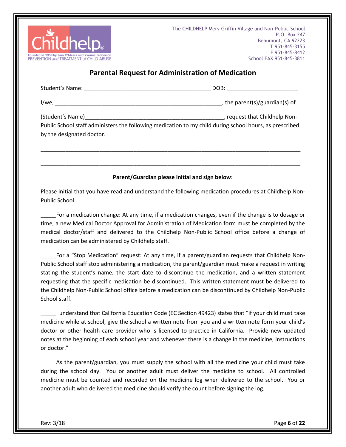

#### **Parental Request for Administration of Medication**

|                                                                                                                                      | DOB: __________________________               |
|--------------------------------------------------------------------------------------------------------------------------------------|-----------------------------------------------|
|                                                                                                                                      | $\overline{a}$ , the parent(s)/guardian(s) of |
| Public School staff administers the following medication to my child during school hours, as prescribed<br>by the designated doctor. |                                               |
|                                                                                                                                      |                                               |

#### **Parent/Guardian please initial and sign below:**

Please initial that you have read and understand the following medication procedures at Childhelp Non-Public School.

\_\_\_\_\_For a medication change: At any time, if a medication changes, even if the change is to dosage or time, a new Medical Doctor Approval for Administration of Medication form must be completed by the medical doctor/staff and delivered to the Childhelp Non-Public School office before a change of medication can be administered by Childhelp staff.

For a "Stop Medication" request: At any time, if a parent/guardian requests that Childhelp Non-Public School staff stop administering a medication, the parent/guardian must make a request in writing stating the student's name, the start date to discontinue the medication, and a written statement requesting that the specific medication be discontinued. This written statement must be delivered to the Childhelp Non-Public School office before a medication can be discontinued by Childhelp Non-Public School staff.

\_\_\_\_\_I understand that California Education Code (EC Section 49423) states that "if your child must take medicine while at school, give the school a written note from you and a written note form your child's doctor or other health care provider who is licensed to practice in California. Provide new updated notes at the beginning of each school year and whenever there is a change in the medicine, instructions or doctor."

As the parent/guardian, you must supply the school with all the medicine your child must take during the school day. You or another adult must deliver the medicine to school. All controlled medicine must be counted and recorded on the medicine log when delivered to the school. You or another adult who delivered the medicine should verify the count before signing the log.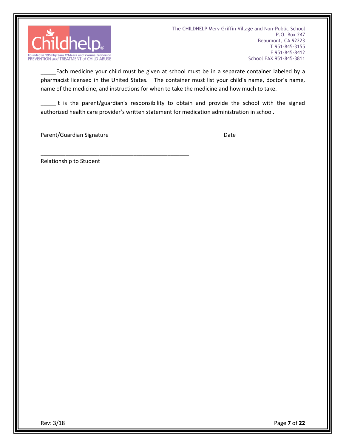

Each medicine your child must be given at school must be in a separate container labeled by a pharmacist licensed in the United States. The container must list your child's name, doctor's name, name of the medicine, and instructions for when to take the medicine and how much to take.

It is the parent/guardian's responsibility to obtain and provide the school with the signed authorized health care provider's written statement for medication administration in school.

\_\_\_\_\_\_\_\_\_\_\_\_\_\_\_\_\_\_\_\_\_\_\_\_\_\_\_\_\_\_\_\_\_\_\_\_\_\_\_\_\_\_\_\_\_\_\_\_ \_\_\_\_\_\_\_\_\_\_\_\_\_\_\_\_\_\_\_\_\_\_\_\_\_

Parent/Guardian Signature Date Date

\_\_\_\_\_\_\_\_\_\_\_\_\_\_\_\_\_\_\_\_\_\_\_\_\_\_\_\_\_\_\_\_\_\_\_\_\_\_\_\_\_\_\_\_\_\_\_\_

Relationship to Student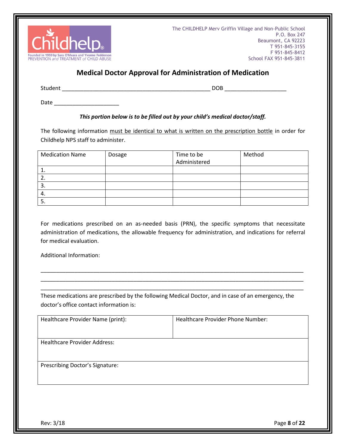

### **Medical Doctor Approval for Administration of Medication**

| Student<br>. | $\sim$ $\sim$ $\sim$<br>۱⊦<br>$-$ |
|--------------|-----------------------------------|
|              |                                   |

 $Date$   $\qquad \qquad \qquad \qquad \qquad \qquad$ 

#### *This portion below is to be filled out by your child's medical doctor/staff.*

The following information must be identical to what is written on the prescription bottle in order for Childhelp NPS staff to administer.

| <b>Medication Name</b> | Dosage | Time to be<br>Administered | Method |
|------------------------|--------|----------------------------|--------|
|                        |        |                            |        |
|                        |        |                            |        |
| 3.                     |        |                            |        |
| 4.                     |        |                            |        |
| .ر                     |        |                            |        |

For medications prescribed on an as-needed basis (PRN), the specific symptoms that necessitate administration of medications, the allowable frequency for administration, and indications for referral for medical evaluation.

\_\_\_\_\_\_\_\_\_\_\_\_\_\_\_\_\_\_\_\_\_\_\_\_\_\_\_\_\_\_\_\_\_\_\_\_\_\_\_\_\_\_\_\_\_\_\_\_\_\_\_\_\_\_\_\_\_\_\_\_\_\_\_\_\_\_\_\_\_\_\_\_\_\_\_\_\_\_\_\_\_\_\_\_\_ \_\_\_\_\_\_\_\_\_\_\_\_\_\_\_\_\_\_\_\_\_\_\_\_\_\_\_\_\_\_\_\_\_\_\_\_\_\_\_\_\_\_\_\_\_\_\_\_\_\_\_\_\_\_\_\_\_\_\_\_\_\_\_\_\_\_\_\_\_\_\_\_\_\_\_\_\_\_\_\_\_\_\_\_\_ \_\_\_\_\_\_\_\_\_\_\_\_\_\_\_\_\_\_\_\_\_\_\_\_\_\_\_\_\_\_\_\_\_\_\_\_\_\_\_\_\_\_\_\_\_\_\_\_\_\_\_\_\_\_\_\_\_\_\_\_\_\_\_\_\_\_\_\_\_\_\_\_\_\_\_\_\_\_\_\_\_\_\_\_\_

Additional Information:

These medications are prescribed by the following Medical Doctor, and in case of an emergency, the doctor's office contact information is:

| Healthcare Provider Name (print):   | Healthcare Provider Phone Number: |
|-------------------------------------|-----------------------------------|
| <b>Healthcare Provider Address:</b> |                                   |
| Prescribing Doctor's Signature:     |                                   |

Rev: 3/18 Page **8** of **22**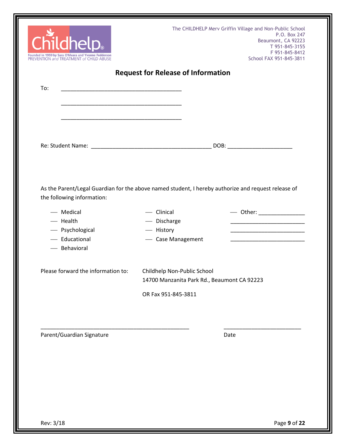| Childhelp.<br>Founded in 1959 by Sara O'Meara and Yvonne Fedderson<br>PREVENTION and TREATMENT of CHILD ABUSE                     |                                                                            | The CHILDHELP Merv Griffin Village and Non-Public School<br>P.O. Box 247<br>Beaumont, CA 92223<br>T 951-845-3155<br>F 951-845-8412<br>School FAX 951-845-3811 |
|-----------------------------------------------------------------------------------------------------------------------------------|----------------------------------------------------------------------------|---------------------------------------------------------------------------------------------------------------------------------------------------------------|
| To:                                                                                                                               | <b>Request for Release of Information</b>                                  |                                                                                                                                                               |
| <u> 1989 - Johann John Stone, markin film ar yn y brenin y brenin y brenin y brenin y brenin y brenin y brenin y</u>              |                                                                            |                                                                                                                                                               |
| <u> 1989 - Johann John Stein, markin fan it ferstjer fan it ferstjer fan it ferstjer fan it ferstjer fan it fers</u>              |                                                                            |                                                                                                                                                               |
|                                                                                                                                   |                                                                            |                                                                                                                                                               |
|                                                                                                                                   |                                                                            |                                                                                                                                                               |
| As the Parent/Legal Guardian for the above named student, I hereby authorize and request release of<br>the following information: |                                                                            |                                                                                                                                                               |
| - Medical                                                                                                                         | - Clinical                                                                 | — Other: ______________                                                                                                                                       |
| - Health                                                                                                                          | - Discharge                                                                |                                                                                                                                                               |
| - Psychological<br>- Educational                                                                                                  | - History<br>- Case Management                                             | <u> 1990 - Johann John Harry Harry Harry Harry Harry Harry Harry Harry Harry Harry Harry Harry Harry Harry Harry H</u>                                        |
| - Behavioral                                                                                                                      |                                                                            |                                                                                                                                                               |
| Please forward the information to:                                                                                                | Childhelp Non-Public School<br>14700 Manzanita Park Rd., Beaumont CA 92223 |                                                                                                                                                               |
|                                                                                                                                   | OR Fax 951-845-3811                                                        |                                                                                                                                                               |
|                                                                                                                                   |                                                                            |                                                                                                                                                               |
| Parent/Guardian Signature                                                                                                         |                                                                            | Date                                                                                                                                                          |
|                                                                                                                                   |                                                                            |                                                                                                                                                               |
|                                                                                                                                   |                                                                            |                                                                                                                                                               |
|                                                                                                                                   |                                                                            |                                                                                                                                                               |
|                                                                                                                                   |                                                                            |                                                                                                                                                               |
|                                                                                                                                   |                                                                            |                                                                                                                                                               |
|                                                                                                                                   |                                                                            |                                                                                                                                                               |
|                                                                                                                                   |                                                                            |                                                                                                                                                               |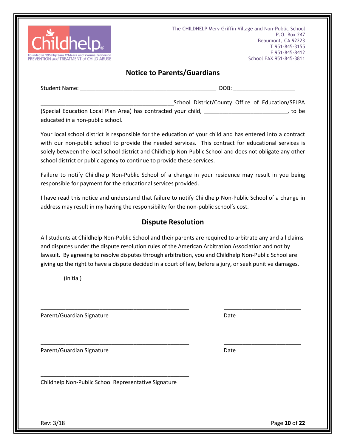

#### **Notice to Parents/Guardians**

| Student<br>Name <sup>.</sup> | $\sim$ $\sim$ |
|------------------------------|---------------|
|------------------------------|---------------|

\_School District/County Office of Education/SELPA (Special Education Local Plan Area) has contracted your child, \_\_\_\_\_\_\_\_\_\_\_\_\_\_\_\_\_\_\_\_\_\_\_\_\_\_\_, to be educated in a non-public school.

Your local school district is responsible for the education of your child and has entered into a contract with our non-public school to provide the needed services. This contract for educational services is solely between the local school district and Childhelp Non-Public School and does not obligate any other school district or public agency to continue to provide these services.

Failure to notify Childhelp Non-Public School of a change in your residence may result in you being responsible for payment for the educational services provided.

I have read this notice and understand that failure to notify Childhelp Non-Public School of a change in address may result in my having the responsibility for the non-public school's cost.

#### **Dispute Resolution**

All students at Childhelp Non-Public School and their parents are required to arbitrate any and all claims and disputes under the dispute resolution rules of the American Arbitration Association and not by lawsuit. By agreeing to resolve disputes through arbitration, you and Childhelp Non-Public School are giving up the right to have a dispute decided in a court of law, before a jury, or seek punitive damages.

\_\_\_\_\_\_\_\_\_\_\_\_\_\_\_\_\_\_\_\_\_\_\_\_\_\_\_\_\_\_\_\_\_\_\_\_\_\_\_\_\_\_\_\_\_\_\_\_ \_\_\_\_\_\_\_\_\_\_\_\_\_\_\_\_\_\_\_\_\_\_\_\_\_

\_\_\_\_\_\_\_\_\_\_\_\_\_\_\_\_\_\_\_\_\_\_\_\_\_\_\_\_\_\_\_\_\_\_\_\_\_\_\_\_\_\_\_\_\_\_\_\_ \_\_\_\_\_\_\_\_\_\_\_\_\_\_\_\_\_\_\_\_\_\_\_\_\_

\_\_\_\_\_\_\_ (initial)

Parent/Guardian Signature Date Date

Parent/Guardian Signature Date Date

Childhelp Non-Public School Representative Signature

\_\_\_\_\_\_\_\_\_\_\_\_\_\_\_\_\_\_\_\_\_\_\_\_\_\_\_\_\_\_\_\_\_\_\_\_\_\_\_\_\_\_\_\_\_\_\_\_

Rev: 3/18 Page **10** of **22**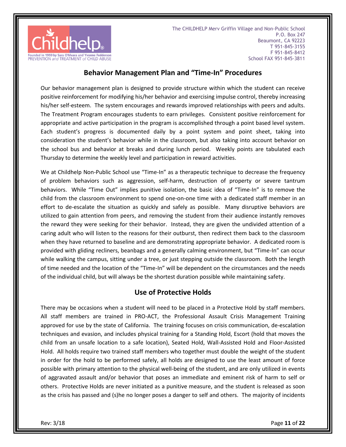

#### **Behavior Management Plan and "Time-In" Procedures**

Our behavior management plan is designed to provide structure within which the student can receive positive reinforcement for modifying his/her behavior and exercising impulse control, thereby increasing his/her self-esteem. The system encourages and rewards improved relationships with peers and adults. The Treatment Program encourages students to earn privileges. Consistent positive reinforcement for appropriate and active participation in the program is accomplished through a point based level system. Each student's progress is documented daily by a point system and point sheet, taking into consideration the student's behavior while in the classroom, but also taking into account behavior on the school bus and behavior at breaks and during lunch period. Weekly points are tabulated each Thursday to determine the weekly level and participation in reward activities.

We at Childhelp Non-Public School use "Time-In" as a therapeutic technique to decrease the frequency of problem behaviors such as aggression, self-harm, destruction of property or severe tantrum behaviors. While "Time Out" implies punitive isolation, the basic idea of "Time-In" is to remove the child from the classroom environment to spend one-on-one time with a dedicated staff member in an effort to de-escalate the situation as quickly and safely as possible. Many disruptive behaviors are utilized to gain attention from peers, and removing the student from their audience instantly removes the reward they were seeking for their behavior. Instead, they are given the undivided attention of a caring adult who will listen to the reasons for their outburst, then redirect them back to the classroom when they have returned to baseline and are demonstrating appropriate behavior. A dedicated room is provided with gliding recliners, beanbags and a generally calming environment, but "Time-In" can occur while walking the campus, sitting under a tree, or just stepping outside the classroom. Both the length of time needed and the location of the "Time-In" will be dependent on the circumstances and the needs of the individual child, but will always be the shortest duration possible while maintaining safety.

#### **Use of Protective Holds**

There may be occasions when a student will need to be placed in a Protective Hold by staff members. All staff members are trained in PRO-ACT, the Professional Assault Crisis Management Training approved for use by the state of California. The training focuses on crisis communication, de-escalation techniques and evasion, and includes physical training for a Standing Hold, Escort (hold that moves the child from an unsafe location to a safe location), Seated Hold, Wall-Assisted Hold and Floor-Assisted Hold. All holds require two trained staff members who together must double the weight of the student in order for the hold to be performed safely, all holds are designed to use the least amount of force possible with primary attention to the physical well-being of the student, and are only utilized in events of aggravated assault and/or behavior that poses an immediate and eminent risk of harm to self or others. Protective Holds are never initiated as a punitive measure, and the student is released as soon as the crisis has passed and (s)he no longer poses a danger to self and others. The majority of incidents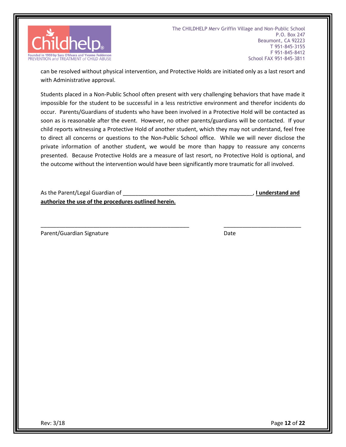

can be resolved without physical intervention, and Protective Holds are initiated only as a last resort and with Administrative approval.

Students placed in a Non-Public School often present with very challenging behaviors that have made it impossible for the student to be successful in a less restrictive environment and therefor incidents do occur. Parents/Guardians of students who have been involved in a Protective Hold will be contacted as soon as is reasonable after the event. However, no other parents/guardians will be contacted. If your child reports witnessing a Protective Hold of another student, which they may not understand, feel free to direct all concerns or questions to the Non-Public School office. While we will never disclose the private information of another student, we would be more than happy to reassure any concerns presented. Because Protective Holds are a measure of last resort, no Protective Hold is optional, and the outcome without the intervention would have been significantly more traumatic for all involved.

\_\_\_\_\_\_\_\_\_\_\_\_\_\_\_\_\_\_\_\_\_\_\_\_\_\_\_\_\_\_\_\_\_\_\_\_\_\_\_\_\_\_\_\_\_\_\_\_ \_\_\_\_\_\_\_\_\_\_\_\_\_\_\_\_\_\_\_\_\_\_\_\_\_

As the Parent/Legal Guardian of \_\_\_\_\_\_\_\_\_\_\_\_\_\_\_\_\_\_\_\_\_\_\_\_\_\_\_\_\_\_\_\_\_\_\_\_\_\_\_\_\_\_, **I understand and authorize the use of the procedures outlined herein.**

Parent/Guardian Signature Date Date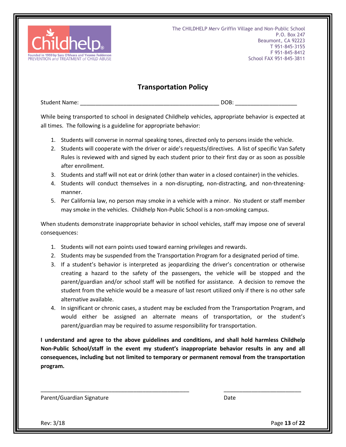

#### **Transportation Policy**

Student Name: \_\_\_\_\_\_\_\_\_\_\_\_\_\_\_\_\_\_\_\_\_\_\_\_\_\_\_\_\_\_\_\_\_\_\_\_\_\_\_\_\_\_\_\_\_ DOB: \_\_\_\_\_\_\_\_\_\_\_\_\_\_\_\_\_\_\_\_

While being transported to school in designated Childhelp vehicles, appropriate behavior is expected at all times. The following is a guideline for appropriate behavior:

- 1. Students will converse in normal speaking tones, directed only to persons inside the vehicle.
- 2. Students will cooperate with the driver or aide's requests/directives. A list of specific Van Safety Rules is reviewed with and signed by each student prior to their first day or as soon as possible after enrollment.
- 3. Students and staff will not eat or drink (other than water in a closed container) in the vehicles.
- 4. Students will conduct themselves in a non-disrupting, non-distracting, and non-threateningmanner.
- 5. Per California law, no person may smoke in a vehicle with a minor. No student or staff member may smoke in the vehicles. Childhelp Non-Public School is a non-smoking campus.

When students demonstrate inappropriate behavior in school vehicles, staff may impose one of several consequences:

- 1. Students will not earn points used toward earning privileges and rewards.
- 2. Students may be suspended from the Transportation Program for a designated period of time.
- 3. If a student's behavior is interpreted as jeopardizing the driver's concentration or otherwise creating a hazard to the safety of the passengers, the vehicle will be stopped and the parent/guardian and/or school staff will be notified for assistance. A decision to remove the student from the vehicle would be a measure of last resort utilized only if there is no other safe alternative available.
- 4. In significant or chronic cases, a student may be excluded from the Transportation Program, and would either be assigned an alternate means of transportation, or the student's parent/guardian may be required to assume responsibility for transportation.

**I understand and agree to the above guidelines and conditions, and shall hold harmless Childhelp Non-Public School/staff in the event my student's inappropriate behavior results in any and all consequences, including but not limited to temporary or permanent removal from the transportation program.** 

\_\_\_\_\_\_\_\_\_\_\_\_\_\_\_\_\_\_\_\_\_\_\_\_\_\_\_\_\_\_\_\_\_\_\_\_\_\_\_\_\_\_\_\_\_\_\_\_ \_\_\_\_\_\_\_\_\_\_\_\_\_\_\_\_\_\_\_\_\_\_\_\_\_

Parent/Guardian Signature Date Date

Rev: 3/18 Page **13** of **22**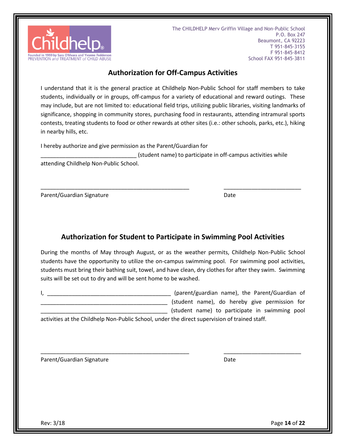

#### **Authorization for Off-Campus Activities**

I understand that it is the general practice at Childhelp Non-Public School for staff members to take students, individually or in groups, off-campus for a variety of educational and reward outings. These may include, but are not limited to: educational field trips, utilizing public libraries, visiting landmarks of significance, shopping in community stores, purchasing food in restaurants, attending intramural sports contests, treating students to food or other rewards at other sites (i.e.: other schools, parks, etc.), hiking in nearby hills, etc.

I hereby authorize and give permission as the Parent/Guardian for

(student name) to participate in off-campus activities while

\_\_\_\_\_\_\_\_\_\_\_\_\_\_\_\_\_\_\_\_\_\_\_\_\_\_\_\_\_\_\_\_\_\_\_\_\_\_\_\_\_\_\_\_\_\_\_\_ \_\_\_\_\_\_\_\_\_\_\_\_\_\_\_\_\_\_\_\_\_\_\_\_\_

attending Childhelp Non-Public School.

Parent/Guardian Signature Date Date

# **Authorization for Student to Participate in Swimming Pool Activities**

During the months of May through August, or as the weather permits, Childhelp Non-Public School students have the opportunity to utilize the on-campus swimming pool. For swimming pool activities, students must bring their bathing suit, towel, and have clean, dry clothes for after they swim. Swimming suits will be set out to dry and will be sent home to be washed.

\_\_\_\_\_\_\_\_\_\_\_\_\_\_\_\_\_\_\_\_\_\_\_\_\_\_\_\_\_\_\_\_\_\_\_\_\_\_\_\_\_\_\_\_\_\_\_\_ \_\_\_\_\_\_\_\_\_\_\_\_\_\_\_\_\_\_\_\_\_\_\_\_\_

I, the Parent/Guardian name), the Parent/Guardian of \_\_\_\_\_\_\_\_\_\_\_\_\_\_\_\_\_\_\_\_\_\_\_\_\_\_\_\_\_\_\_\_\_\_\_\_\_\_\_\_\_ (student name), do hereby give permission for \_\_\_\_\_\_\_\_\_\_\_\_\_\_\_\_\_\_\_\_\_\_\_\_\_\_\_\_\_\_\_\_\_\_\_\_\_\_\_\_\_ (student name) to participate in swimming pool

activities at the Childhelp Non-Public School, under the direct supervision of trained staff.

Parent/Guardian Signature Date Date

Rev: 3/18 Page **14** of **22**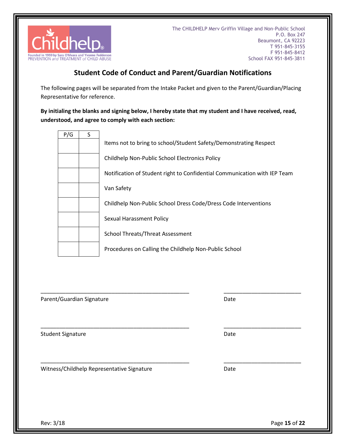

# **Student Code of Conduct and Parent/Guardian Notifications**

The following pages will be separated from the Intake Packet and given to the Parent/Guardian/Placing Representative for reference.

#### **By initialing the blanks and signing below, I hereby state that my student and I have received, read, understood, and agree to comply with each section:**

| P/G | S |                                                                           |
|-----|---|---------------------------------------------------------------------------|
|     |   | Items not to bring to school/Student Safety/Demonstrating Respect         |
|     |   | Childhelp Non-Public School Electronics Policy                            |
|     |   | Notification of Student right to Confidential Communication with IEP Team |
|     |   | Van Safety                                                                |
|     |   | Childhelp Non-Public School Dress Code/Dress Code Interventions           |
|     |   | <b>Sexual Harassment Policy</b>                                           |
|     |   | <b>School Threats/Threat Assessment</b>                                   |
|     |   | Procedures on Calling the Childhelp Non-Public School                     |

\_\_\_\_\_\_\_\_\_\_\_\_\_\_\_\_\_\_\_\_\_\_\_\_\_\_\_\_\_\_\_\_\_\_\_\_\_\_\_\_\_\_\_\_\_\_\_\_ \_\_\_\_\_\_\_\_\_\_\_\_\_\_\_\_\_\_\_\_\_\_\_\_\_

\_\_\_\_\_\_\_\_\_\_\_\_\_\_\_\_\_\_\_\_\_\_\_\_\_\_\_\_\_\_\_\_\_\_\_\_\_\_\_\_\_\_\_\_\_\_\_\_ \_\_\_\_\_\_\_\_\_\_\_\_\_\_\_\_\_\_\_\_\_\_\_\_\_

\_\_\_\_\_\_\_\_\_\_\_\_\_\_\_\_\_\_\_\_\_\_\_\_\_\_\_\_\_\_\_\_\_\_\_\_\_\_\_\_\_\_\_\_\_\_\_\_ \_\_\_\_\_\_\_\_\_\_\_\_\_\_\_\_\_\_\_\_\_\_\_\_\_

Parent/Guardian Signature Date of the Date of the Date of the Date of the Date of the Date of the Date of the Da

Student Signature Date Accounts and Date Date Date

Witness/Childhelp Representative Signature **Date** Date

| ate |  |  |  |
|-----|--|--|--|
|     |  |  |  |
|     |  |  |  |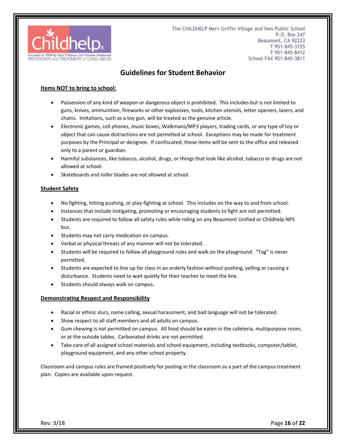

#### **Guidelines for Student Behavior**

#### **Items NOT to bring to school:**

- Possession of any kind of weapon or dangerous object is prohibited. This includes but is not limited to guns, knives, ammunition, fireworks or other explosives, tools, kitchen utensils, letter openers, lasers, and chains. Imitations, such as a toy gun, will be treated as the genuine article.
- Electronic games, cell phones, music boxes, Walkmans/MP3 players, trading cards, or any type of toy or object that can cause distractions are not permitted at school. Exceptions may be made for treatment purposes by the Principal or designee. If confiscated, these items will be sent to the office and released only to a parent or guardian.
- Harmful substances, like tobacco, alcohol, drugs, or things that look like alcohol, tobacco or drugs are not allowed at school.
- Skateboards and roller blades are not allowed at school.

#### **Student Safety**

- No fighting, hitting pushing, or play-fighting at school. This includes on the way to and from school.
- Instances that include instigating, promoting or encouraging students to fight are not permitted.
- Students are required to follow all safety rules while riding on any Beaumont Unified or Childhelp NPS bus.
- Students may not carry medication on campus.
- Verbal or physical threats of any manner will not be tolerated.
- Students will be required to follow all playground rules and walk on the playground. "Tag" is never permitted.
- Students are expected to line up for class in an orderly fashion without pushing, yelling or causing a disturbance. Students need to wait quietly for their teacher to meet the line.
- Students should always walk on campus.

#### **Demonstrating Respect and Responsibility**

- Racial or ethnic slurs, name calling, sexual harassment, and bad language will not be tolerated.
- Show respect to all staff members and all adults on campus.
- Gum chewing is not permitted on campus. All food should be eaten in the cafeteria, multipurpose room, or at the outside tables. Carbonated drinks are not permitted.
- Take care of all assigned school materials and school equipment, including textbooks, computer/tablet, playground equipment, and any other school property.

Classroom and campus rules are framed positively for posting in the classroom as a part of the campus treatment plan. Copies are available upon request.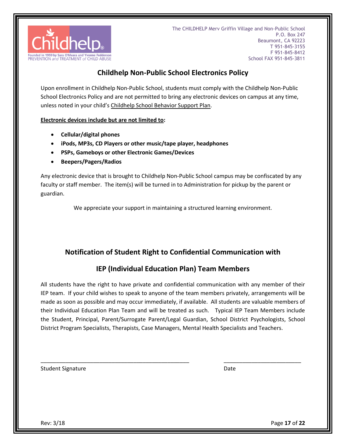

# **Childhelp Non-Public School Electronics Policy**

Upon enrollment in Childhelp Non-Public School, students must comply with the Childhelp Non-Public School Electronics Policy and are not permitted to bring any electronic devices on campus at any time, unless noted in your child's Childhelp School Behavior Support Plan.

**Electronic devices include but are not limited to:**

- **Cellular/digital phones**
- **iPods, MP3s, CD Players or other music/tape player, headphones**
- **PSPs, Gameboys or other Electronic Games/Devices**
- **Beepers/Pagers/Radios**

Any electronic device that is brought to Childhelp Non-Public School campus may be confiscated by any faculty or staff member. The item(s) will be turned in to Administration for pickup by the parent or guardian.

We appreciate your support in maintaining a structured learning environment.

### **Notification of Student Right to Confidential Communication with**

#### **IEP (Individual Education Plan) Team Members**

All students have the right to have private and confidential communication with any member of their IEP team. If your child wishes to speak to anyone of the team members privately, arrangements will be made as soon as possible and may occur immediately, if available. All students are valuable members of their Individual Education Plan Team and will be treated as such. Typical IEP Team Members include the Student, Principal, Parent/Surrogate Parent/Legal Guardian, School District Psychologists, School District Program Specialists, Therapists, Case Managers, Mental Health Specialists and Teachers.

\_\_\_\_\_\_\_\_\_\_\_\_\_\_\_\_\_\_\_\_\_\_\_\_\_\_\_\_\_\_\_\_\_\_\_\_\_\_\_\_\_\_\_\_\_\_\_\_ \_\_\_\_\_\_\_\_\_\_\_\_\_\_\_\_\_\_\_\_\_\_\_\_\_

Student Signature Date Date Date Date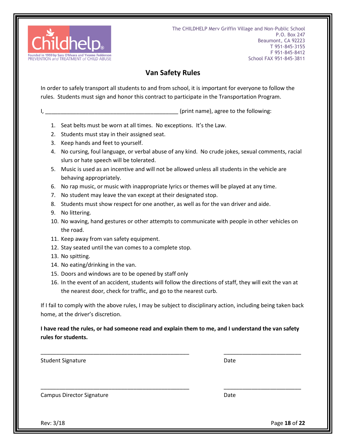

# **Van Safety Rules**

In order to safely transport all students to and from school, it is important for everyone to follow the rules. Students must sign and honor this contract to participate in the Transportation Program.

I, the same of the state of the state of the following:  $(p\text{rint} \text{ name})$ , agree to the following:

- 1. Seat belts must be worn at all times. No exceptions. It's the Law.
- 2. Students must stay in their assigned seat.
- 3. Keep hands and feet to yourself.
- 4. No cursing, foul language, or verbal abuse of any kind. No crude jokes, sexual comments, racial slurs or hate speech will be tolerated.
- 5. Music is used as an incentive and will not be allowed unless all students in the vehicle are behaving appropriately.
- 6. No rap music, or music with inappropriate lyrics or themes will be played at any time.
- 7. No student may leave the van except at their designated stop.
- 8. Students must show respect for one another, as well as for the van driver and aide.
- 9. No littering.
- 10. No waving, hand gestures or other attempts to communicate with people in other vehicles on the road.
- 11. Keep away from van safety equipment.
- 12. Stay seated until the van comes to a complete stop.
- 13. No spitting.
- 14. No eating/drinking in the van.
- 15. Doors and windows are to be opened by staff only
- 16. In the event of an accident, students will follow the directions of staff, they will exit the van at the nearest door, check for traffic, and go to the nearest curb.

If I fail to comply with the above rules, I may be subject to disciplinary action, including being taken back home, at the driver's discretion.

**I have read the rules, or had someone read and explain them to me, and I understand the van safety rules for students.**

\_\_\_\_\_\_\_\_\_\_\_\_\_\_\_\_\_\_\_\_\_\_\_\_\_\_\_\_\_\_\_\_\_\_\_\_\_\_\_\_\_\_\_\_\_\_\_\_ \_\_\_\_\_\_\_\_\_\_\_\_\_\_\_\_\_\_\_\_\_\_\_\_\_

\_\_\_\_\_\_\_\_\_\_\_\_\_\_\_\_\_\_\_\_\_\_\_\_\_\_\_\_\_\_\_\_\_\_\_\_\_\_\_\_\_\_\_\_\_\_\_\_ \_\_\_\_\_\_\_\_\_\_\_\_\_\_\_\_\_\_\_\_\_\_\_\_\_

Student Signature Date Date Date Date

Campus Director Signature **Date** Date Date

Rev: 3/18 Page **18** of **22**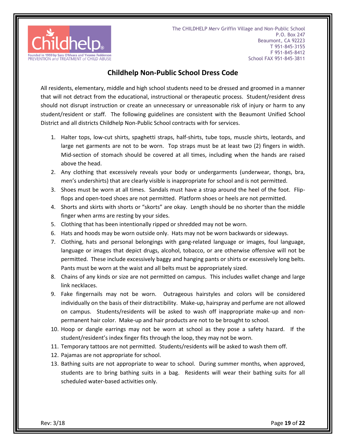

#### **Childhelp Non-Public School Dress Code**

All residents, elementary, middle and high school students need to be dressed and groomed in a manner that will not detract from the educational, instructional or therapeutic process. Student/resident dress should not disrupt instruction or create an unnecessary or unreasonable risk of injury or harm to any student/resident or staff. The following guidelines are consistent with the Beaumont Unified School District and all districts Childhelp Non-Public School contracts with for services.

- 1. Halter tops, low-cut shirts, spaghetti straps, half-shirts, tube tops, muscle shirts, leotards, and large net garments are not to be worn. Top straps must be at least two (2) fingers in width. Mid-section of stomach should be covered at all times, including when the hands are raised above the head.
- 2. Any clothing that excessively reveals your body or undergarments (underwear, thongs, bra, men's undershirts) that are clearly visible is inappropriate for school and is not permitted.
- 3. Shoes must be worn at all times. Sandals must have a strap around the heel of the foot. Flipflops and open-toed shoes are not permitted. Platform shoes or heels are not permitted.
- 4. Shorts and skirts with shorts or "skorts" are okay. Length should be no shorter than the middle finger when arms are resting by your sides.
- 5. Clothing that has been intentionally ripped or shredded may not be worn.
- 6. Hats and hoods may be worn outside only. Hats may not be worn backwards or sideways.
- 7. Clothing, hats and personal belongings with gang-related language or images, foul language, language or images that depict drugs, alcohol, tobacco, or are otherwise offensive will not be permitted. These include excessively baggy and hanging pants or shirts or excessively long belts. Pants must be worn at the waist and all belts must be appropriately sized.
- 8. Chains of any kinds or size are not permitted on campus. This includes wallet change and large link necklaces.
- 9. Fake fingernails may not be worn. Outrageous hairstyles and colors will be considered individually on the basis of their distractibility. Make-up, hairspray and perfume are not allowed on campus. Students/residents will be asked to wash off inappropriate make-up and nonpermanent hair color. Make-up and hair products are not to be brought to school.
- 10. Hoop or dangle earrings may not be worn at school as they pose a safety hazard. If the student/resident's index finger fits through the loop, they may not be worn.
- 11. Temporary tattoos are not permitted. Students/residents will be asked to wash them off.
- 12. Pajamas are not appropriate for school.
- 13. Bathing suits are not appropriate to wear to school. During summer months, when approved, students are to bring bathing suits in a bag. Residents will wear their bathing suits for all scheduled water-based activities only.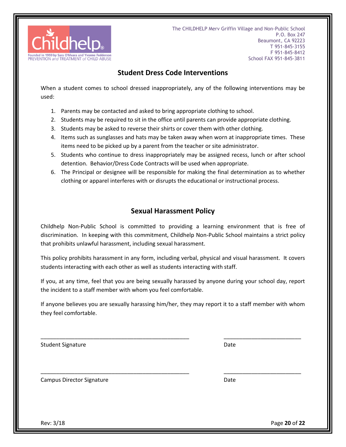

#### **Student Dress Code Interventions**

When a student comes to school dressed inappropriately, any of the following interventions may be used:

- 1. Parents may be contacted and asked to bring appropriate clothing to school.
- 2. Students may be required to sit in the office until parents can provide appropriate clothing.
- 3. Students may be asked to reverse their shirts or cover them with other clothing.
- 4. Items such as sunglasses and hats may be taken away when worn at inappropriate times. These items need to be picked up by a parent from the teacher or site administrator.
- 5. Students who continue to dress inappropriately may be assigned recess, lunch or after school detention. Behavior/Dress Code Contracts will be used when appropriate.
- 6. The Principal or designee will be responsible for making the final determination as to whether clothing or apparel interferes with or disrupts the educational or instructional process.

#### **Sexual Harassment Policy**

Childhelp Non-Public School is committed to providing a learning environment that is free of discrimination. In keeping with this commitment, Childhelp Non-Public School maintains a strict policy that prohibits unlawful harassment, including sexual harassment.

This policy prohibits harassment in any form, including verbal, physical and visual harassment. It covers students interacting with each other as well as students interacting with staff.

If you, at any time, feel that you are being sexually harassed by anyone during your school day, report the incident to a staff member with whom you feel comfortable.

If anyone believes you are sexually harassing him/her, they may report it to a staff member with whom they feel comfortable.

\_\_\_\_\_\_\_\_\_\_\_\_\_\_\_\_\_\_\_\_\_\_\_\_\_\_\_\_\_\_\_\_\_\_\_\_\_\_\_\_\_\_\_\_\_\_\_\_ \_\_\_\_\_\_\_\_\_\_\_\_\_\_\_\_\_\_\_\_\_\_\_\_\_

\_\_\_\_\_\_\_\_\_\_\_\_\_\_\_\_\_\_\_\_\_\_\_\_\_\_\_\_\_\_\_\_\_\_\_\_\_\_\_\_\_\_\_\_\_\_\_\_ \_\_\_\_\_\_\_\_\_\_\_\_\_\_\_\_\_\_\_\_\_\_\_\_\_

Student Signature Date Date

Campus Director Signature **Date** Date **Date** Date

Rev: 3/18 Page **20** of **22**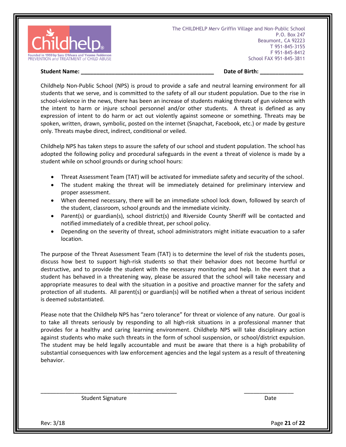

#### **Student Name: Contained Act 2012 12:00 Student Name: Contained Act 2013 12:00 Student Name: Contained Act 2013**

Childhelp Non-Public School (NPS) is proud to provide a safe and neutral learning environment for all students that we serve, and is committed to the safety of all our student population. Due to the rise in school-violence in the news, there has been an increase of students making threats of gun violence with the intent to harm or injure school personnel and/or other students. A threat is defined as any expression of intent to do harm or act out violently against someone or something. Threats may be spoken, written, drawn, symbolic, posted on the internet (Snapchat, Facebook, etc.) or made by gesture only. Threats maybe direct, indirect, conditional or veiled.

Childhelp NPS has taken steps to assure the safety of our school and student population. The school has adopted the following policy and procedural safeguards in the event a threat of violence is made by a student while on school grounds or during school hours:

- Threat Assessment Team (TAT) will be activated for immediate safety and security of the school.
- The student making the threat will be immediately detained for preliminary interview and proper assessment.
- When deemed necessary, there will be an immediate school lock down, followed by search of the student, classroom, school grounds and the immediate vicinity.
- Parent(s) or guardian(s), school district(s) and Riverside County Sheriff will be contacted and notified immediately of a credible threat, per school policy.
- Depending on the severity of threat, school administrators might initiate evacuation to a safer location.

The purpose of the Threat Assessment Team (TAT) is to determine the level of risk the students poses, discuss how best to support high-risk students so that their behavior does not become hurtful or destructive, and to provide the student with the necessary monitoring and help. In the event that a student has behaved in a threatening way, please be assured that the school will take necessary and appropriate measures to deal with the situation in a positive and proactive manner for the safety and protection of all students. All parent(s) or guardian(s) will be notified when a threat of serious incident is deemed substantiated.

Please note that the Childhelp NPS has "zero tolerance" for threat or violence of any nature. Our goal is to take all threats seriously by responding to all high-risk situations in a professional manner that provides for a healthy and caring learning environment. Childhelp NPS will take disciplinary action against students who make such threats in the form of school suspension, or school/district expulsion. The student may be held legally accountable and must be aware that there is a high probability of substantial consequences with law enforcement agencies and the legal system as a result of threatening behavior.

\_\_\_\_\_\_\_\_\_\_\_\_\_\_\_\_\_\_\_\_\_\_\_\_\_\_\_\_\_\_\_\_\_\_\_\_\_\_\_\_\_\_\_\_ \_\_\_\_\_\_\_\_\_\_\_\_\_\_\_\_

Student Signature Date Date Date Date

Rev: 3/18 Page **21** of **22**